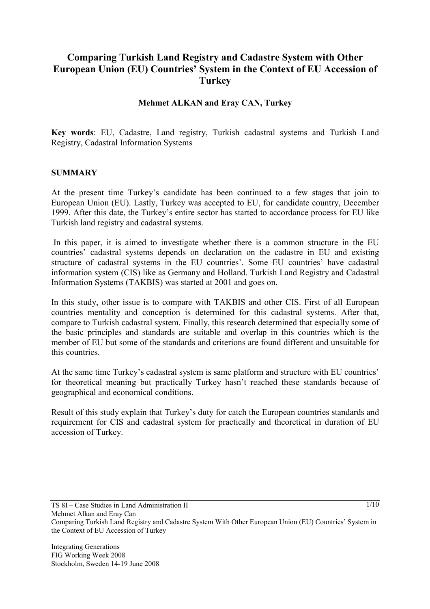## **Comparing Turkish Land Registry and Cadastre System with Other European Union (EU) Countries' System in the Context of EU Accession of Turkey**

#### **Mehmet ALKAN and Eray CAN, Turkey**

**Key words**: EU, Cadastre, Land registry, Turkish cadastral systems and Turkish Land Registry, Cadastral Information Systems

#### **SUMMARY**

At the present time Turkey's candidate has been continued to a few stages that join to European Union (EU). Lastly, Turkey was accepted to EU, for candidate country, December 1999. After this date, the Turkey's entire sector has started to accordance process for EU like Turkish land registry and cadastral systems.

 In this paper, it is aimed to investigate whether there is a common structure in the EU countries' cadastral systems depends on declaration on the cadastre in EU and existing structure of cadastral systems in the EU countries'. Some EU countries' have cadastral information system (CIS) like as Germany and Holland. Turkish Land Registry and Cadastral Information Systems (TAKBIS) was started at 2001 and goes on.

In this study, other issue is to compare with TAKBIS and other CIS. First of all European countries mentality and conception is determined for this cadastral systems. After that, compare to Turkish cadastral system. Finally, this research determined that especially some of the basic principles and standards are suitable and overlap in this countries which is the member of EU but some of the standards and criterions are found different and unsuitable for this countries.

At the same time Turkey's cadastral system is same platform and structure with EU countries' for theoretical meaning but practically Turkey hasn't reached these standards because of geographical and economical conditions.

Result of this study explain that Turkey's duty for catch the European countries standards and requirement for CIS and cadastral system for practically and theoretical in duration of EU accession of Turkey.

TS 8I – Case Studies in Land Administration II

Comparing Turkish Land Registry and Cadastre System With Other European Union (EU) Countries' System in the Context of EU Accession of Turkey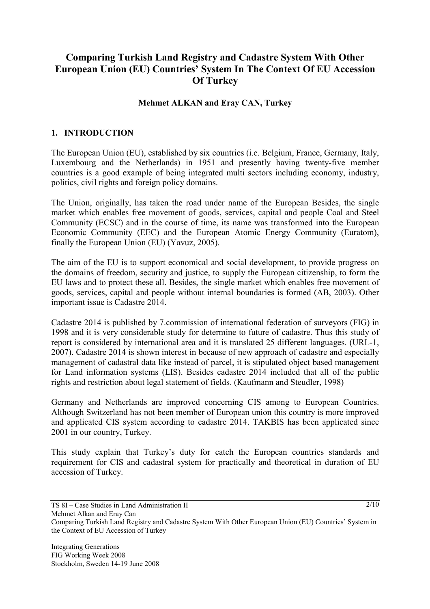# **Comparing Turkish Land Registry and Cadastre System With Other European Union (EU) Countries' System In The Context Of EU Accession Of Turkey**

#### **Mehmet ALKAN and Eray CAN, Turkey**

#### **1. INTRODUCTION**

The European Union (EU), established by six countries (i.e. Belgium, France, Germany, Italy, Luxembourg and the Netherlands) in 1951 and presently having twenty-five member countries is a good example of being integrated multi sectors including economy, industry, politics, civil rights and foreign policy domains.

The Union, originally, has taken the road under name of the European Besides, the single market which enables free movement of goods, services, capital and people Coal and Steel Community (ECSC) and in the course of time, its name was transformed into the European Economic Community (EEC) and the European Atomic Energy Community (Euratom), finally the European Union (EU) (Yavuz, 2005).

The aim of the EU is to support economical and social development, to provide progress on the domains of freedom, security and justice, to supply the European citizenship, to form the EU laws and to protect these all. Besides, the single market which enables free movement of goods, services, capital and people without internal boundaries is formed (AB, 2003). Other important issue is Cadastre 2014.

Cadastre 2014 is published by 7.commission of international federation of surveyors (FIG) in 1998 and it is very considerable study for determine to future of cadastre. Thus this study of report is considered by international area and it is translated 25 different languages. (URL-1, 2007). Cadastre 2014 is shown interest in because of new approach of cadastre and especially management of cadastral data like instead of parcel, it is stipulated object based management for Land information systems (LIS). Besides cadastre 2014 included that all of the public rights and restriction about legal statement of fields. (Kaufmann and Steudler, 1998)

Germany and Netherlands are improved concerning CIS among to European Countries. Although Switzerland has not been member of European union this country is more improved and applicated CIS system according to cadastre 2014. TAKBIS has been applicated since 2001 in our country, Turkey.

This study explain that Turkey's duty for catch the European countries standards and requirement for CIS and cadastral system for practically and theoretical in duration of EU accession of Turkey.

TS 8I – Case Studies in Land Administration II

Comparing Turkish Land Registry and Cadastre System With Other European Union (EU) Countries' System in the Context of EU Accession of Turkey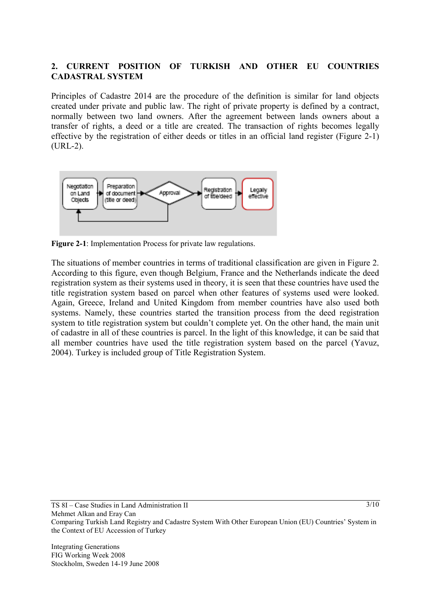### **2. CURRENT POSITION OF TURKISH AND OTHER EU COUNTRIES CADASTRAL SYSTEM**

Principles of Cadastre 2014 are the procedure of the definition is similar for land objects created under private and public law. The right of private property is defined by a contract, normally between two land owners. After the agreement between lands owners about a transfer of rights, a deed or a title are created. The transaction of rights becomes legally effective by the registration of either deeds or titles in an official land register (Figure 2-1) (URL-2).



**Figure 2-1**: Implementation Process for private law regulations.

The situations of member countries in terms of traditional classification are given in Figure 2. According to this figure, even though Belgium, France and the Netherlands indicate the deed registration system as their systems used in theory, it is seen that these countries have used the title registration system based on parcel when other features of systems used were looked. Again, Greece, Ireland and United Kingdom from member countries have also used both systems. Namely, these countries started the transition process from the deed registration system to title registration system but couldn't complete yet. On the other hand, the main unit of cadastre in all of these countries is parcel. In the light of this knowledge, it can be said that all member countries have used the title registration system based on the parcel (Yavuz, 2004). Turkey is included group of Title Registration System.

```
TS 8I – Case Studies in Land Administration II 
Mehmet Alkan and Eray Can 
Comparing Turkish Land Registry and Cadastre System With Other European Union (EU) Countries' System in 
the Context of EU Accession of Turkey
```
Integrating Generations FIG Working Week 2008 Stockholm, Sweden 14-19 June 2008  $3/10$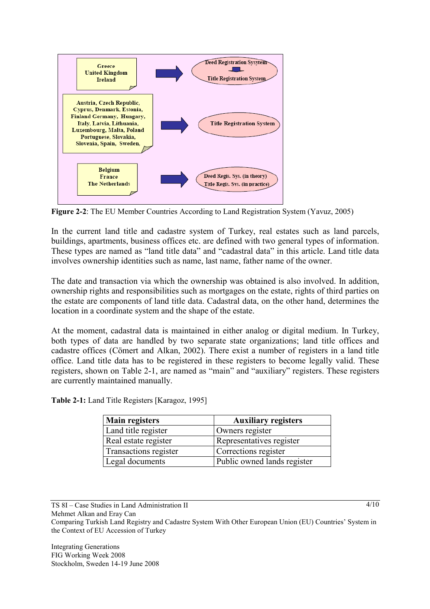

**Figure 2-2**: The EU Member Countries According to Land Registration System (Yavuz, 2005)

In the current land title and cadastre system of Turkey, real estates such as land parcels, buildings, apartments, business offices etc. are defined with two general types of information. These types are named as "land title data" and "cadastral data" in this article. Land title data involves ownership identities such as name, last name, father name of the owner.

The date and transaction via which the ownership was obtained is also involved. In addition, ownership rights and responsibilities such as mortgages on the estate, rights of third parties on the estate are components of land title data. Cadastral data, on the other hand, determines the location in a coordinate system and the shape of the estate.

At the moment, cadastral data is maintained in either analog or digital medium. In Turkey, both types of data are handled by two separate state organizations; land title offices and cadastre offices (Cömert and Alkan, 2002). There exist a number of registers in a land title office. Land title data has to be registered in these registers to become legally valid. These registers, shown on Table 2-1, are named as "main" and "auxiliary" registers. These registers are currently maintained manually.

| Table 2-1: Land Title Registers [Karagoz, 1995] |  |  |  |
|-------------------------------------------------|--|--|--|
|-------------------------------------------------|--|--|--|

| <b>Main registers</b> | <b>Auxiliary registers</b>  |
|-----------------------|-----------------------------|
| Land title register   | Owners register             |
| Real estate register  | Representatives register    |
| Transactions register | Corrections register        |
| Legal documents       | Public owned lands register |

TS 8I – Case Studies in Land Administration II

Mehmet Alkan and Eray Can

Comparing Turkish Land Registry and Cadastre System With Other European Union (EU) Countries' System in the Context of EU Accession of Turkey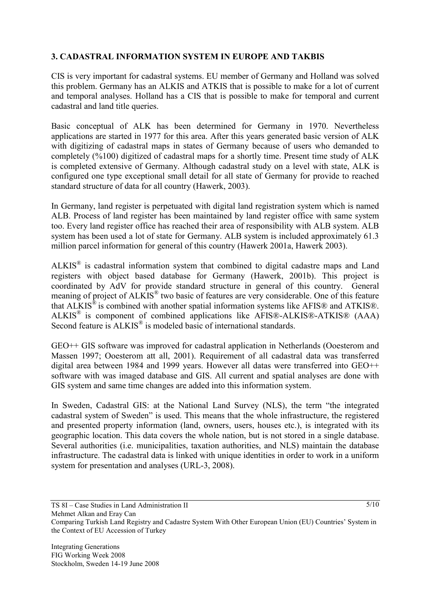## **3. CADASTRAL INFORMATION SYSTEM IN EUROPE AND TAKBIS**

CIS is very important for cadastral systems. EU member of Germany and Holland was solved this problem. Germany has an ALKIS and ATKIS that is possible to make for a lot of current and temporal analyses. Holland has a CIS that is possible to make for temporal and current cadastral and land title queries.

Basic conceptual of ALK has been determined for Germany in 1970. Nevertheless applications are started in 1977 for this area. After this years generated basic version of ALK with digitizing of cadastral maps in states of Germany because of users who demanded to completely (%100) digitized of cadastral maps for a shortly time. Present time study of ALK is completed extensive of Germany. Although cadastral study on a level with state, ALK is configured one type exceptional small detail for all state of Germany for provide to reached standard structure of data for all country (Hawerk, 2003).

In Germany, land register is perpetuated with digital land registration system which is named ALB. Process of land register has been maintained by land register office with same system too. Every land register office has reached their area of responsibility with ALB system. ALB system has been used a lot of state for Germany. ALB system is included approximately 61.3 million parcel information for general of this country (Hawerk 2001a, Hawerk 2003).

ALKIS® is cadastral information system that combined to digital cadastre maps and Land registers with object based database for Germany (Hawerk, 2001b). This project is coordinated by AdV for provide standard structure in general of this country. General meaning of project of ALKIS® two basic of features are very considerable. One of this feature that ALKIS® is combined with another spatial information systems like AFIS® and ATKIS®.  $ALKIS^{\circledR}$  is component of combined applications like AFIS®-ALKIS®-ATKIS® (AAA) Second feature is  $ALKIS^{\circledast}$  is modeled basic of international standards.

GEO++ GIS software was improved for cadastral application in Netherlands (Ooesterom and Massen 1997; Ooesterom att all, 2001). Requirement of all cadastral data was transferred digital area between 1984 and 1999 years. However all datas were transferred into GEO++ software with was imaged database and GIS. All current and spatial analyses are done with GIS system and same time changes are added into this information system.

In Sweden, Cadastral GIS: at the National Land Survey (NLS), the term "the integrated cadastral system of Sweden" is used. This means that the whole infrastructure, the registered and presented property information (land, owners, users, houses etc.), is integrated with its geographic location. This data covers the whole nation, but is not stored in a single database. Several authorities (i.e. municipalities, taxation authorities, and NLS) maintain the database infrastructure. The cadastral data is linked with unique identities in order to work in a uniform system for presentation and analyses (URL-3, 2008).

TS 8I – Case Studies in Land Administration II

Comparing Turkish Land Registry and Cadastre System With Other European Union (EU) Countries' System in the Context of EU Accession of Turkey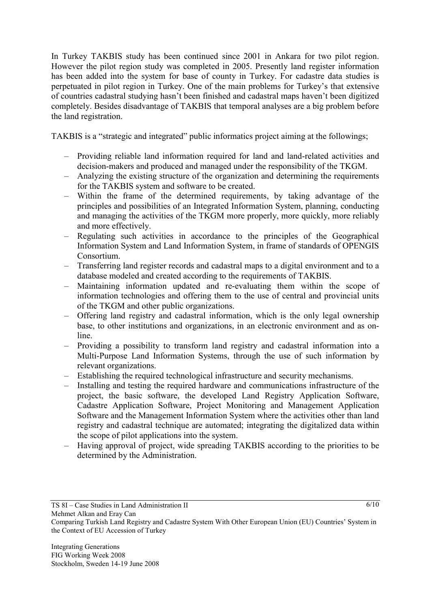In Turkey TAKBIS study has been continued since 2001 in Ankara for two pilot region. However the pilot region study was completed in 2005. Presently land register information has been added into the system for base of county in Turkey. For cadastre data studies is perpetuated in pilot region in Turkey. One of the main problems for Turkey's that extensive of countries cadastral studying hasn't been finished and cadastral maps haven't been digitized completely. Besides disadvantage of TAKBIS that temporal analyses are a big problem before the land registration.

TAKBIS is a "strategic and integrated" public informatics project aiming at the followings;

- Providing reliable land information required for land and land-related activities and decision-makers and produced and managed under the responsibility of the TKGM.
- Analyzing the existing structure of the organization and determining the requirements for the TAKBIS system and software to be created.
- Within the frame of the determined requirements, by taking advantage of the principles and possibilities of an Integrated Information System, planning, conducting and managing the activities of the TKGM more properly, more quickly, more reliably and more effectively.
- Regulating such activities in accordance to the principles of the Geographical Information System and Land Information System, in frame of standards of OPENGIS Consortium.
- Transferring land register records and cadastral maps to a digital environment and to a database modeled and created according to the requirements of TAKBIS.
- Maintaining information updated and re-evaluating them within the scope of information technologies and offering them to the use of central and provincial units of the TKGM and other public organizations.
- Offering land registry and cadastral information, which is the only legal ownership base, to other institutions and organizations, in an electronic environment and as online.
- Providing a possibility to transform land registry and cadastral information into a Multi-Purpose Land Information Systems, through the use of such information by relevant organizations.
- Establishing the required technological infrastructure and security mechanisms.
- Installing and testing the required hardware and communications infrastructure of the project, the basic software, the developed Land Registry Application Software, Cadastre Application Software, Project Monitoring and Management Application Software and the Management Information System where the activities other than land registry and cadastral technique are automated; integrating the digitalized data within the scope of pilot applications into the system.
- Having approval of project, wide spreading TAKBIS according to the priorities to be determined by the Administration.

TS 8I – Case Studies in Land Administration II

Comparing Turkish Land Registry and Cadastre System With Other European Union (EU) Countries' System in the Context of EU Accession of Turkey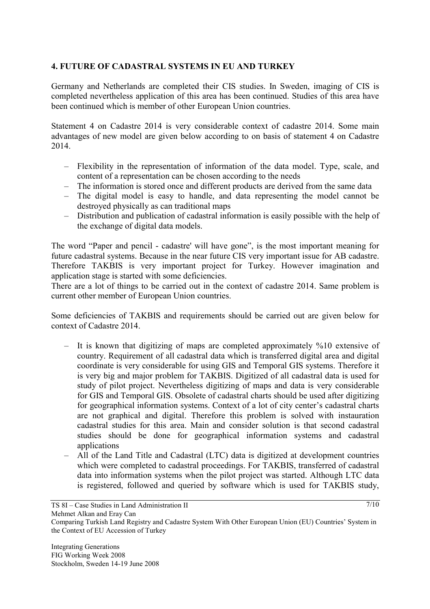## **4. FUTURE OF CADASTRAL SYSTEMS IN EU AND TURKEY**

Germany and Netherlands are completed their CIS studies. In Sweden, imaging of CIS is completed nevertheless application of this area has been continued. Studies of this area have been continued which is member of other European Union countries.

Statement 4 on Cadastre 2014 is very considerable context of cadastre 2014. Some main advantages of new model are given below according to on basis of statement 4 on Cadastre 2014.

- Flexibility in the representation of information of the data model. Type, scale, and content of a representation can be chosen according to the needs
- The information is stored once and different products are derived from the same data
- The digital model is easy to handle, and data representing the model cannot be destroyed physically as can traditional maps
- Distribution and publication of cadastral information is easily possible with the help of the exchange of digital data models.

The word "Paper and pencil - cadastre' will have gone", is the most important meaning for future cadastral systems. Because in the near future CIS very important issue for AB cadastre. Therefore TAKBIS is very important project for Turkey. However imagination and application stage is started with some deficiencies.

There are a lot of things to be carried out in the context of cadastre 2014. Same problem is current other member of European Union countries.

Some deficiencies of TAKBIS and requirements should be carried out are given below for context of Cadastre 2014.

- It is known that digitizing of maps are completed approximately %10 extensive of country. Requirement of all cadastral data which is transferred digital area and digital coordinate is very considerable for using GIS and Temporal GIS systems. Therefore it is very big and major problem for TAKBIS. Digitized of all cadastral data is used for study of pilot project. Nevertheless digitizing of maps and data is very considerable for GIS and Temporal GIS. Obsolete of cadastral charts should be used after digitizing for geographical information systems. Context of a lot of city center's cadastral charts are not graphical and digital. Therefore this problem is solved with instauration cadastral studies for this area. Main and consider solution is that second cadastral studies should be done for geographical information systems and cadastral applications
- All of the Land Title and Cadastral (LTC) data is digitized at development countries which were completed to cadastral proceedings. For TAKBIS, transferred of cadastral data into information systems when the pilot project was started. Although LTC data is registered, followed and queried by software which is used for TAKBIS study,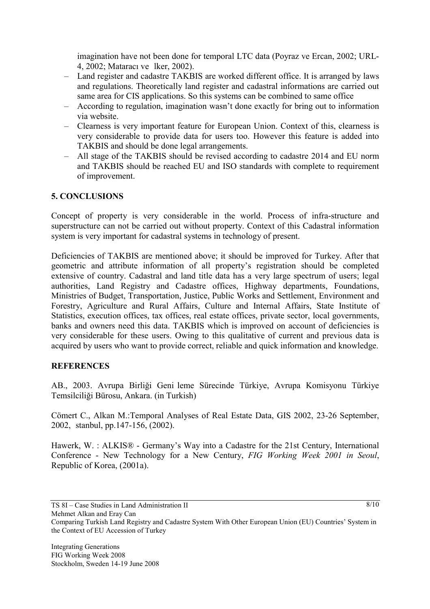imagination have not been done for temporal LTC data (Poyraz ve Ercan, 2002; URL-4, 2002; Mataracı ve lker, 2002).

- Land register and cadastre TAKBIS are worked different office. It is arranged by laws and regulations. Theoretically land register and cadastral informations are carried out same area for CIS applications. So this systems can be combined to same office
- According to regulation, imagination wasn't done exactly for bring out to information via website.
- Clearness is very important feature for European Union. Context of this, clearness is very considerable to provide data for users too. However this feature is added into TAKBIS and should be done legal arrangements.
- All stage of the TAKBIS should be revised according to cadastre 2014 and EU norm and TAKBIS should be reached EU and ISO standards with complete to requirement of improvement.

### **5. CONCLUSIONS**

Concept of property is very considerable in the world. Process of infra-structure and superstructure can not be carried out without property. Context of this Cadastral information system is very important for cadastral systems in technology of present.

Deficiencies of TAKBIS are mentioned above; it should be improved for Turkey. After that geometric and attribute information of all property's registration should be completed extensive of country. Cadastral and land title data has a very large spectrum of users; legal authorities, Land Registry and Cadastre offices, Highway departments, Foundations, Ministries of Budget, Transportation, Justice, Public Works and Settlement, Environment and Forestry, Agriculture and Rural Affairs, Culture and Internal Affairs, State Institute of Statistics, execution offices, tax offices, real estate offices, private sector, local governments, banks and owners need this data. TAKBIS which is improved on account of deficiencies is very considerable for these users. Owing to this qualitative of current and previous data is acquired by users who want to provide correct, reliable and quick information and knowledge.

### **REFERENCES**

AB., 2003. Avrupa Birliği Genileme Sürecinde Türkiye, Avrupa Komisyonu Türkiye Temsilciliği Bürosu, Ankara. (in Turkish)

Cömert C., Alkan M.:Temporal Analyses of Real Estate Data, GIS 2002, 23-26 September, 2002, stanbul, pp.147-156, (2002).

Hawerk, W. : ALKIS® - Germany's Way into a Cadastre for the 21st Century, International Conference - New Technology for a New Century, *FIG Working Week 2001 in Seoul*, Republic of Korea, (2001a).

Mehmet Alkan and Eray Can

 $8/10$ 

TS 8I – Case Studies in Land Administration II

Comparing Turkish Land Registry and Cadastre System With Other European Union (EU) Countries' System in the Context of EU Accession of Turkey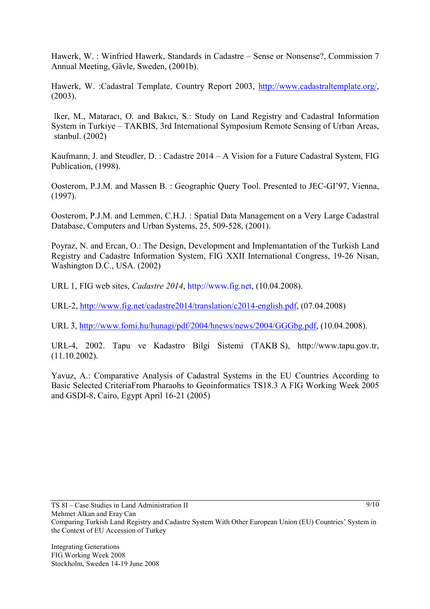Hawerk, W. : Winfried Hawerk, Standards in Cadastre – Sense or Nonsense?, Commission 7 Annual Meeting, Gävle, Sweden, (2001b).

Hawerk, W. :Cadastral Template, Country Report 2003, http://www.cadastraltemplate.org/, (2003).

lker, M., Mataracı, O. and Bakıcı, S.: Study on Land Registry and Cadastral Information System in Turkiye – TAKBIS, 3rd International Symposium Remote Sensing of Urban Areas, stanbul. (2002)

Kaufmann, J. and Steudler, D. : Cadastre 2014 – A Vision for a Future Cadastral System, FIG Publication, (1998).

Oosterom, P.J.M. and Massen B. : Geographic Query Tool. Presented to JEC-GI'97, Vienna, (1997).

Oosterom, P.J.M. and Lemmen, C.H.J. : Spatial Data Management on a Very Large Cadastral Database, Computers and Urban Systems, 25, 509-528, (2001).

Poyraz, N. and Ercan, O.: The Design, Development and Implemantation of the Turkish Land Registry and Cadastre Information System, FIG XXII International Congress, 19-26 Nisan, Washington D.C., USA. (2002)

URL 1, FIG web sites, *Cadastre 2014*, http://www.fig.net, (10.04.2008).

URL-2, http://www.fig.net/cadastre2014/translation/c2014-english.pdf, (07.04.2008)

URL 3, http://www.fomi.hu/hunagi/pdf/2004/hnews/news/2004/GGGbg.pdf, (10.04.2008).

URL-4, 2002. Tapu ve Kadastro Bilgi Sistemi (TAKBS), http://www.tapu.gov.tr, (11.10.2002).

Yavuz, A.: Comparative Analysis of Cadastral Systems in the EU Countries According to Basic Selected CriteriaFrom Pharaohs to Geoinformatics TS18.3 A FIG Working Week 2005 and GSDI-8, Cairo, Egypt April 16-21 (2005)

TS 8I – Case Studies in Land Administration II

Comparing Turkish Land Registry and Cadastre System With Other European Union (EU) Countries' System in the Context of EU Accession of Turkey